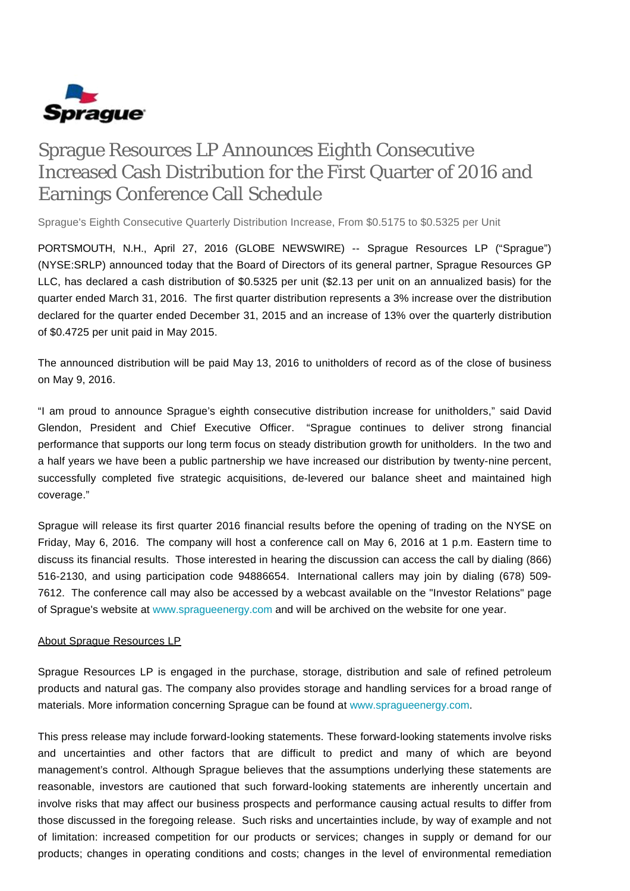

## Sprague Resources LP Announces Eighth Consecutive Increased Cash Distribution for the First Quarter of 2016 and Earnings Conference Call Schedule

Sprague's Eighth Consecutive Quarterly Distribution Increase, From \$0.5175 to \$0.5325 per Unit

PORTSMOUTH, N.H., April 27, 2016 (GLOBE NEWSWIRE) -- Sprague Resources LP ("Sprague") (NYSE:SRLP) announced today that the Board of Directors of its general partner, Sprague Resources GP LLC, has declared a cash distribution of \$0.5325 per unit (\$2.13 per unit on an annualized basis) for the quarter ended March 31, 2016. The first quarter distribution represents a 3% increase over the distribution declared for the quarter ended December 31, 2015 and an increase of 13% over the quarterly distribution of \$0.4725 per unit paid in May 2015.

The announced distribution will be paid May 13, 2016 to unitholders of record as of the close of business on May 9, 2016.

"I am proud to announce Sprague's eighth consecutive distribution increase for unitholders," said David Glendon, President and Chief Executive Officer. "Sprague continues to deliver strong financial performance that supports our long term focus on steady distribution growth for unitholders. In the two and a half years we have been a public partnership we have increased our distribution by twenty-nine percent, successfully completed five strategic acquisitions, de-levered our balance sheet and maintained high coverage."

Sprague will release its first quarter 2016 financial results before the opening of trading on the NYSE on Friday, May 6, 2016. The company will host a conference call on May 6, 2016 at 1 p.m. Eastern time to discuss its financial results. Those interested in hearing the discussion can access the call by dialing (866) 516-2130, and using participation code 94886654. International callers may join by dialing (678) 509- 7612. The conference call may also be accessed by a webcast available on the "Investor Relations" page of Sprague's website at [www.spragueenergy.com](http://www.spragueenergy.com/) and will be archived on the website for one year.

## About Sprague Resources LP

Sprague Resources LP is engaged in the purchase, storage, distribution and sale of refined petroleum products and natural gas. The company also provides storage and handling services for a broad range of materials. More information concerning Sprague can be found at [www.spragueenergy.com](http://www.spragueenergy.com/).

This press release may include forward-looking statements. These forward-looking statements involve risks and uncertainties and other factors that are difficult to predict and many of which are beyond management's control. Although Sprague believes that the assumptions underlying these statements are reasonable, investors are cautioned that such forward-looking statements are inherently uncertain and involve risks that may affect our business prospects and performance causing actual results to differ from those discussed in the foregoing release. Such risks and uncertainties include, by way of example and not of limitation: increased competition for our products or services; changes in supply or demand for our products; changes in operating conditions and costs; changes in the level of environmental remediation